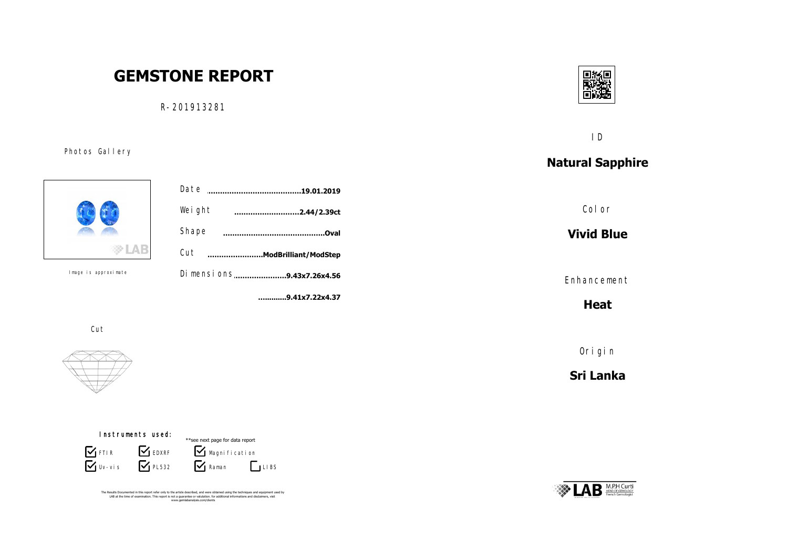# **GEMSTONE REPORT**

R-201913281

ID

## **Natural Sapphire**

Color

**Vivid Blue**

Enhancement

**Heat**

Origin

**Sri Lanka**





Photos Gallery

Image is approximate



Cut





The Results Documented in this report refer only to the article described, and were obtained using the techniques and equipment used by<br>LAB at the time of examination. This report is not a guarantee or valutation. for addi